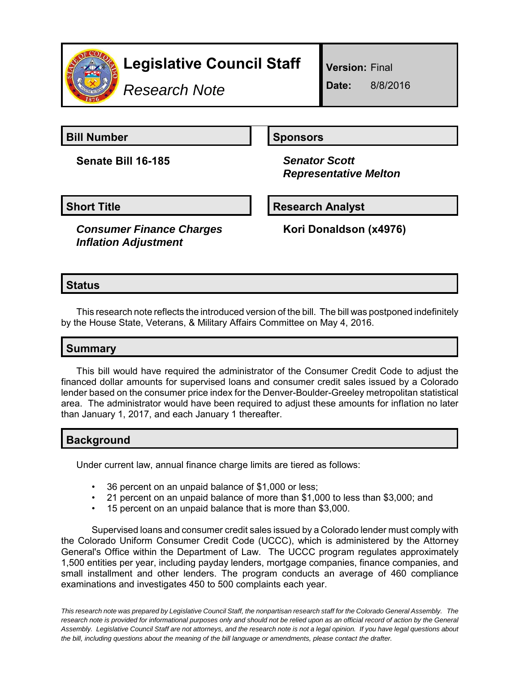

# **Legislative Council Staff**

*Research Note*

**Version:** Final

**Date:** 8/8/2016

**Bill Number Sponsors** 

**Senate Bill 16-185** *Senator Scott*

 *Representative Melton*

**Short Title Community Community Community Research Analyst** 

*Consumer Finance Charges Inflation Adjustment*

**Kori Donaldson (x4976)**

### **Status**

This research note reflects the introduced version of the bill. The bill was postponed indefinitely by the House State, Veterans, & Military Affairs Committee on May 4, 2016.

## **Summary**

This bill would have required the administrator of the Consumer Credit Code to adjust the financed dollar amounts for supervised loans and consumer credit sales issued by a Colorado lender based on the consumer price index for the Denver-Boulder-Greeley metropolitan statistical area. The administrator would have been required to adjust these amounts for inflation no later than January 1, 2017, and each January 1 thereafter.

#### **Background**

Under current law, annual finance charge limits are tiered as follows:

- 36 percent on an unpaid balance of \$1,000 or less;
- 21 percent on an unpaid balance of more than \$1,000 to less than \$3,000; and
- 15 percent on an unpaid balance that is more than \$3,000.

Supervised loans and consumer credit sales issued by a Colorado lender must comply with the Colorado Uniform Consumer Credit Code (UCCC), which is administered by the Attorney General's Office within the Department of Law. The UCCC program regulates approximately 1,500 entities per year, including payday lenders, mortgage companies, finance companies, and small installment and other lenders. The program conducts an average of 460 compliance examinations and investigates 450 to 500 complaints each year.

*This research note was prepared by Legislative Council Staff, the nonpartisan research staff for the Colorado General Assembly. The research note is provided for informational purposes only and should not be relied upon as an official record of action by the General Assembly. Legislative Council Staff are not attorneys, and the research note is not a legal opinion. If you have legal questions about the bill, including questions about the meaning of the bill language or amendments, please contact the drafter.*